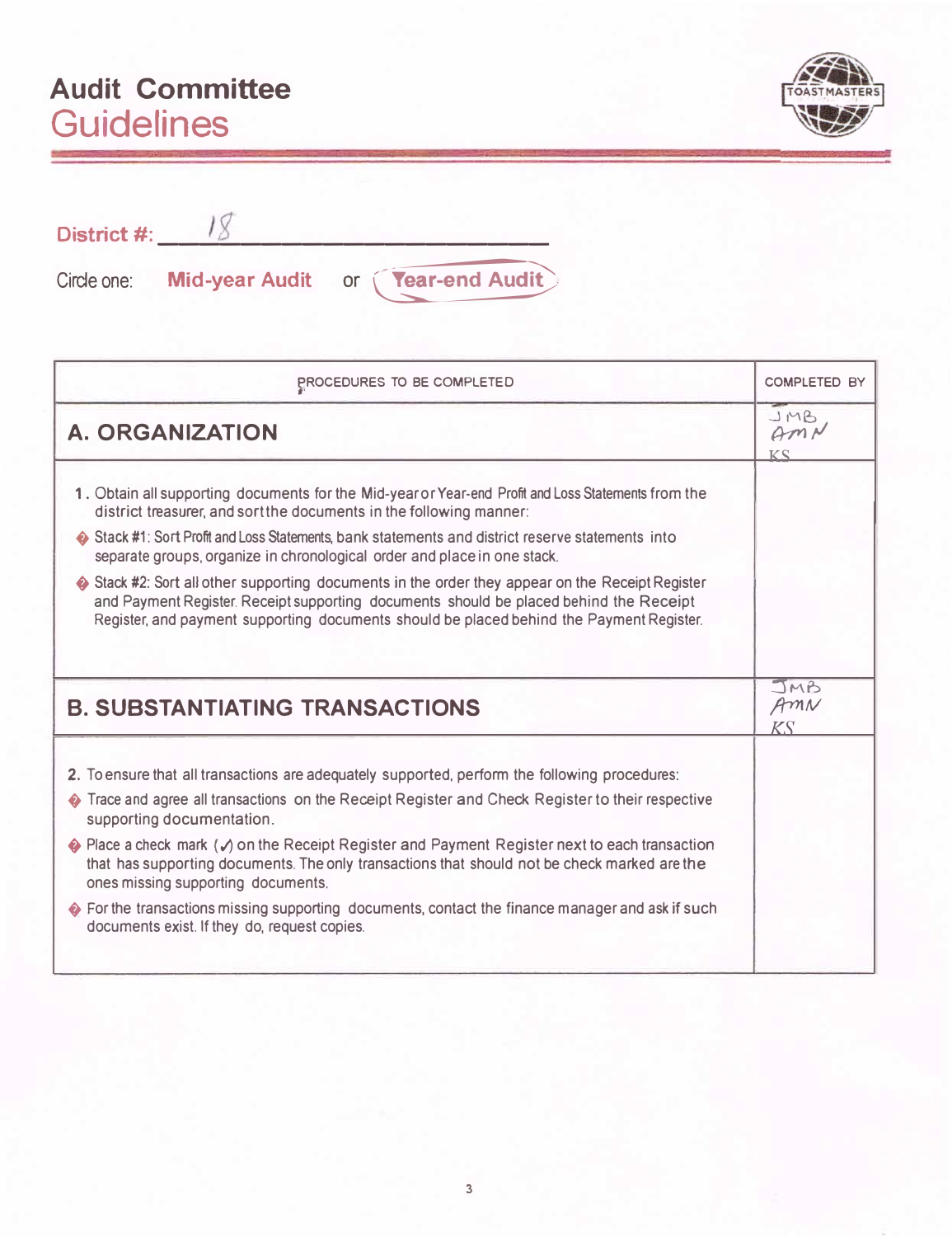## **Audit Committee Guidelines**



| District #: |                                         |
|-------------|-----------------------------------------|
| Circle one: | Mid-year Audit or <b>Tear-end Audit</b> |

| PROCEDURES TO BE COMPLETED                                                                                                                                                                                                                                                           | <b>COMPLETED BY</b>      |
|--------------------------------------------------------------------------------------------------------------------------------------------------------------------------------------------------------------------------------------------------------------------------------------|--------------------------|
| A. ORGANIZATION                                                                                                                                                                                                                                                                      | JMB<br>AMN<br>KS         |
| 1. Obtain all supporting documents for the Mid-year or Year-end Profit and Loss Statements from the<br>district treasurer, and sort the documents in the following manner:                                                                                                           |                          |
| Stack #1: Sort Profit and Loss Statements, bank statements and district reserve statements into<br>separate groups, organize in chronological order and place in one stack.                                                                                                          |                          |
| Stack #2: Sort all other supporting documents in the order they appear on the Receipt Register<br>and Payment Register. Receipt supporting documents should be placed behind the Receipt<br>Register, and payment supporting documents should be placed behind the Payment Register. |                          |
| <b>B. SUBSTANTIATING TRANSACTIONS</b>                                                                                                                                                                                                                                                | JMB<br>AMN<br>$K\bar{S}$ |
|                                                                                                                                                                                                                                                                                      |                          |
| 2. To ensure that all transactions are adequately supported, perform the following procedures:                                                                                                                                                                                       |                          |
| Trace and agree all transactions on the Receipt Register and Check Register to their respective<br>supporting documentation.                                                                                                                                                         |                          |
| $\bullet$ Place a check mark ( $\checkmark$ ) on the Receipt Register and Payment Register next to each transaction<br>that has supporting documents. The only transactions that should not be check marked are the<br>ones missing supporting documents.                            |                          |
| ♦ For the transactions missing supporting documents, contact the finance manager and ask if such<br>documents exist. If they do, request copies.                                                                                                                                     |                          |